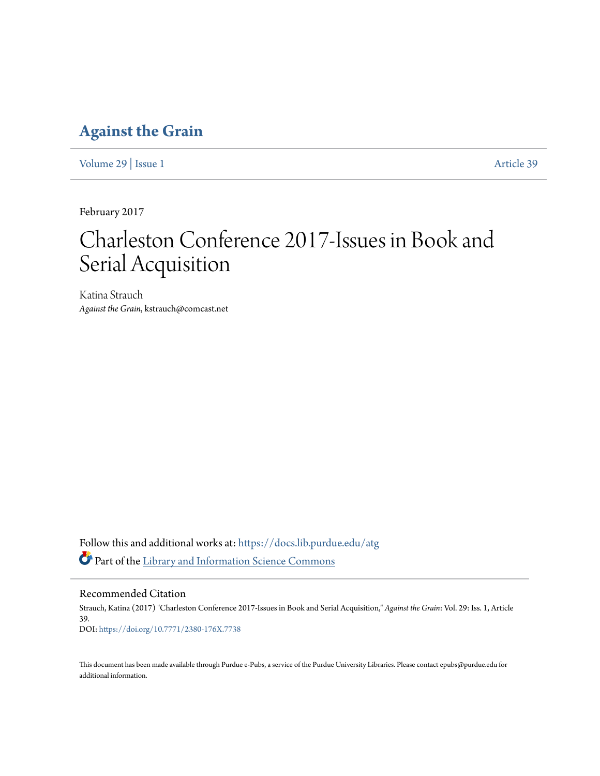#### **[Against the Grain](https://docs.lib.purdue.edu/atg?utm_source=docs.lib.purdue.edu%2Fatg%2Fvol29%2Fiss1%2F39&utm_medium=PDF&utm_campaign=PDFCoverPages)**

[Volume 29](https://docs.lib.purdue.edu/atg/vol29?utm_source=docs.lib.purdue.edu%2Fatg%2Fvol29%2Fiss1%2F39&utm_medium=PDF&utm_campaign=PDFCoverPages) | [Issue 1](https://docs.lib.purdue.edu/atg/vol29/iss1?utm_source=docs.lib.purdue.edu%2Fatg%2Fvol29%2Fiss1%2F39&utm_medium=PDF&utm_campaign=PDFCoverPages) [Article 39](https://docs.lib.purdue.edu/atg/vol29/iss1/39?utm_source=docs.lib.purdue.edu%2Fatg%2Fvol29%2Fiss1%2F39&utm_medium=PDF&utm_campaign=PDFCoverPages)

February 2017

# Charleston Conference 2017-Issues in Book and Serial Acquisition

Katina Strauch *Against the Grain*, kstrauch@comcast.net

Follow this and additional works at: [https://docs.lib.purdue.edu/atg](https://docs.lib.purdue.edu/atg?utm_source=docs.lib.purdue.edu%2Fatg%2Fvol29%2Fiss1%2F39&utm_medium=PDF&utm_campaign=PDFCoverPages) Part of the [Library and Information Science Commons](http://network.bepress.com/hgg/discipline/1018?utm_source=docs.lib.purdue.edu%2Fatg%2Fvol29%2Fiss1%2F39&utm_medium=PDF&utm_campaign=PDFCoverPages)

Recommended Citation

Strauch, Katina (2017) "Charleston Conference 2017-Issues in Book and Serial Acquisition," *Against the Grain*: Vol. 29: Iss. 1, Article 39. DOI: <https://doi.org/10.7771/2380-176X.7738>

This document has been made available through Purdue e-Pubs, a service of the Purdue University Libraries. Please contact epubs@purdue.edu for additional information.